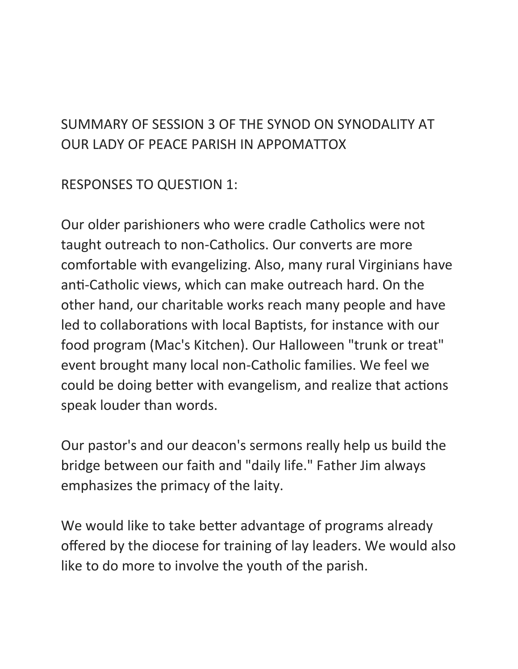## SUMMARY OF SESSION 3 OF THE SYNOD ON SYNODALITY AT OUR LADY OF PEACE PARISH IN APPOMATTOX

RESPONSES TO QUESTION 1:

Our older parishioners who were cradle Catholics were not taught outreach to non-Catholics. Our converts are more comfortable with evangelizing. Also, many rural Virginians have anti-Catholic views, which can make outreach hard. On the other hand, our charitable works reach many people and have led to collaborations with local Baptists, for instance with our food program (Mac's Kitchen). Our Halloween "trunk or treat" event brought many local non-Catholic families. We feel we could be doing better with evangelism, and realize that actions speak louder than words.

Our pastor's and our deacon's sermons really help us build the bridge between our faith and "daily life." Father Jim always emphasizes the primacy of the laity.

We would like to take better advantage of programs already offered by the diocese for training of lay leaders. We would also like to do more to involve the youth of the parish.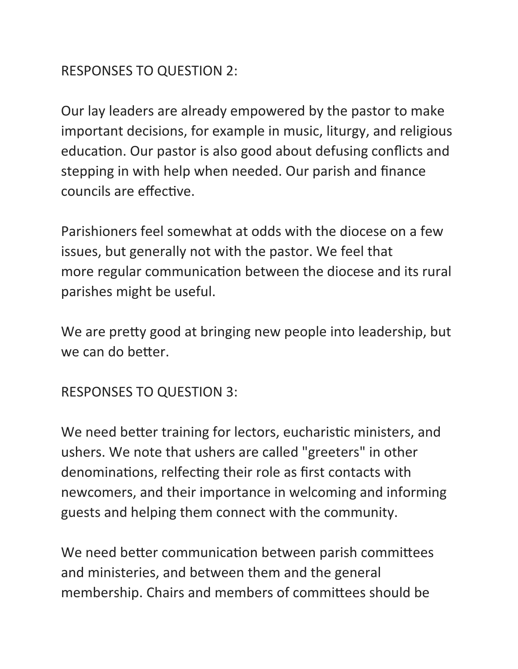## RESPONSES TO QUESTION 2:

Our lay leaders are already empowered by the pastor to make important decisions, for example in music, liturgy, and religious education. Our pastor is also good about defusing conflicts and stepping in with help when needed. Our parish and finance councils are effective.

Parishioners feel somewhat at odds with the diocese on a few issues, but generally not with the pastor. We feel that more regular communication between the diocese and its rural parishes might be useful.

We are pretty good at bringing new people into leadership, but we can do better.

## RESPONSES TO QUESTION 3:

We need better training for lectors, eucharistic ministers, and ushers. We note that ushers are called "greeters" in other denominations, relfecting their role as first contacts with newcomers, and their importance in welcoming and informing guests and helping them connect with the community.

We need better communication between parish committees and ministeries, and between them and the general membership. Chairs and members of committees should be